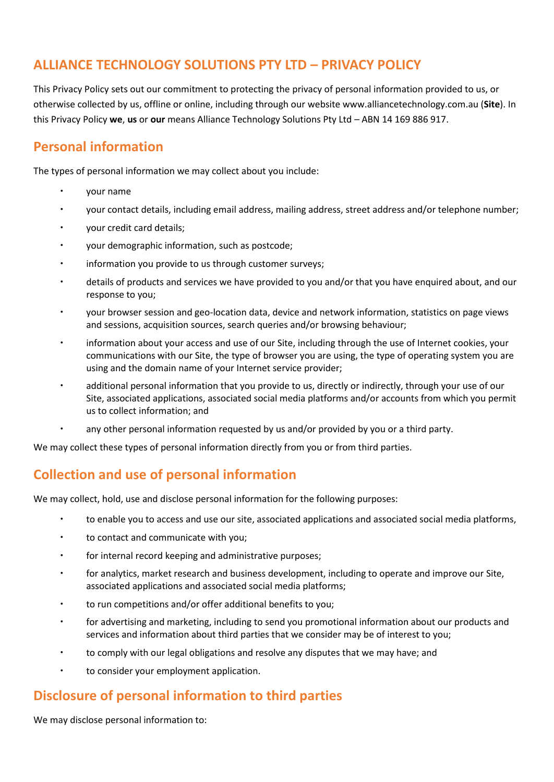# **ALLIANCE TECHNOLOGY SOLUTIONS PTY LTD – PRIVACY POLICY**

This Privacy Policy sets out our commitment to protecting the privacy of personal information provided to us, or otherwise collected by us, offline or online, including through our website www.alliancetechnology.com.au (**Site**). In this Privacy Policy **we**, **us** or **our** means Alliance Technology Solutions Pty Ltd – ABN 14 169 886 917.

# **Personal information**

The types of personal information we may collect about you include:

- your name
- your contact details, including email address, mailing address, street address and/or telephone number;
- your credit card details;
- your demographic information, such as postcode;
- information you provide to us through customer surveys;
- details of products and services we have provided to you and/or that you have enquired about, and our response to you;
- your browser session and geo-location data, device and network information, statistics on page views and sessions, acquisition sources, search queries and/or browsing behaviour;
- information about your access and use of our Site, including through the use of Internet cookies, your communications with our Site, the type of browser you are using, the type of operating system you are using and the domain name of your Internet service provider;
- additional personal information that you provide to us, directly or indirectly, through your use of our Site, associated applications, associated social media platforms and/or accounts from which you permit us to collect information; and
- any other personal information requested by us and/or provided by you or a third party.

We may collect these types of personal information directly from you or from third parties.

# **Collection and use of personal information**

We may collect, hold, use and disclose personal information for the following purposes:

- to enable you to access and use our site, associated applications and associated social media platforms,
- to contact and communicate with you;
- for internal record keeping and administrative purposes;
- for analytics, market research and business development, including to operate and improve our Site, associated applications and associated social media platforms;
- to run competitions and/or offer additional benefits to you;
- for advertising and marketing, including to send you promotional information about our products and services and information about third parties that we consider may be of interest to you;
- to comply with our legal obligations and resolve any disputes that we may have; and
- to consider your employment application.

#### **Disclosure of personal information to third parties**

We may disclose personal information to: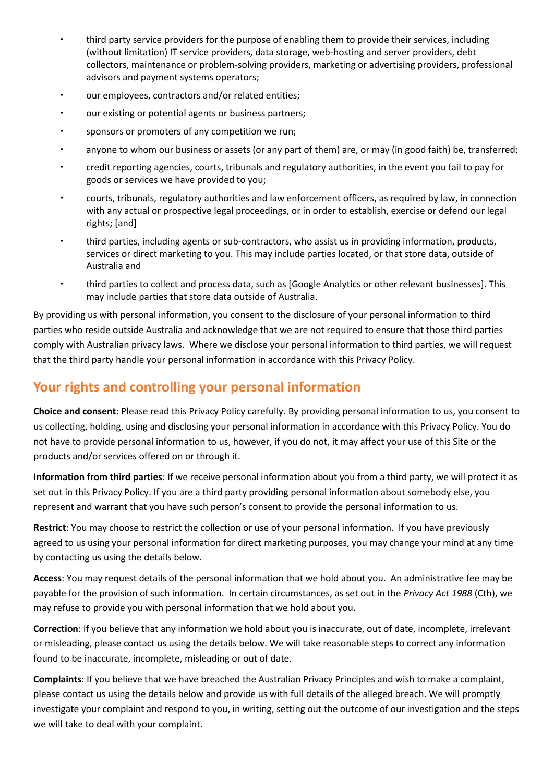- third party service providers for the purpose of enabling them to provide their services, including (without limitation) IT service providers, data storage, web-hosting and server providers, debt collectors, maintenance or problem-solving providers, marketing or advertising providers, professional advisors and payment systems operators;
- our employees, contractors and/or related entities;
- our existing or potential agents or business partners;
- sponsors or promoters of any competition we run;
- anyone to whom our business or assets (or any part of them) are, or may (in good faith) be, transferred;
- credit reporting agencies, courts, tribunals and regulatory authorities, in the event you fail to pay for goods or services we have provided to you;
- courts, tribunals, regulatory authorities and law enforcement officers, as required by law, in connection with any actual or prospective legal proceedings, or in order to establish, exercise or defend our legal rights; [and]
- third parties, including agents or sub-contractors, who assist us in providing information, products, services or direct marketing to you. This may include parties located, or that store data, outside of Australia and
- third parties to collect and process data, such as [Google Analytics or other relevant businesses]. This may include parties that store data outside of Australia.

By providing us with personal information, you consent to the disclosure of your personal information to third parties who reside outside Australia and acknowledge that we are not required to ensure that those third parties comply with Australian privacy laws. Where we disclose your personal information to third parties, we will request that the third party handle your personal information in accordance with this Privacy Policy.

# **Your rights and controlling your personal information**

**Choice and consent**: Please read this Privacy Policy carefully. By providing personal information to us, you consent to us collecting, holding, using and disclosing your personal information in accordance with this Privacy Policy. You do not have to provide personal information to us, however, if you do not, it may affect your use of this Site or the products and/or services offered on or through it.

**Information from third parties**: If we receive personal information about you from a third party, we will protect it as set out in this Privacy Policy. If you are a third party providing personal information about somebody else, you represent and warrant that you have such person's consent to provide the personal information to us.

**Restrict**: You may choose to restrict the collection or use of your personal information. If you have previously agreed to us using your personal information for direct marketing purposes, you may change your mind at any time by contacting us using the details below.

**Access**: You may request details of the personal information that we hold about you. An administrative fee may be payable for the provision of such information. In certain circumstances, as set out in the *Privacy Act 1988* (Cth), we may refuse to provide you with personal information that we hold about you.

**Correction**: If you believe that any information we hold about you is inaccurate, out of date, incomplete, irrelevant or misleading, please contact us using the details below. We will take reasonable steps to correct any information found to be inaccurate, incomplete, misleading or out of date.

**Complaints**: If you believe that we have breached the Australian Privacy Principles and wish to make a complaint, please contact us using the details below and provide us with full details of the alleged breach. We will promptly investigate your complaint and respond to you, in writing, setting out the outcome of our investigation and the steps we will take to deal with your complaint.